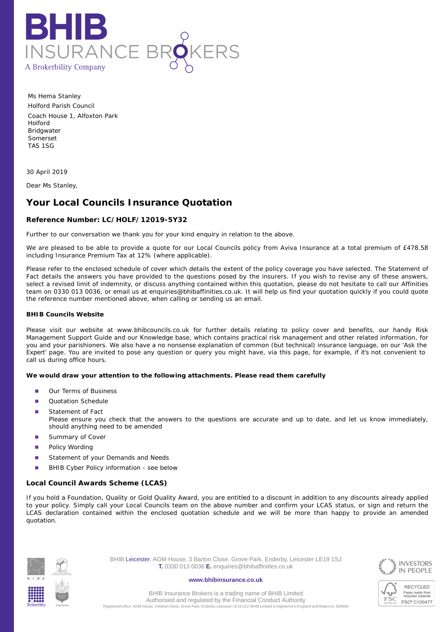

Ms Hema Stanley Holford Parish Council Coach House 1, Alfoxton Park Holford **Bridgwater** Somerset TA5 1SG

30 April 2019

Dear Ms Stanley,

# **Your Local Councils Insurance Quotation**

## **Reference Number: LC/HOLF/12019-5Y32**

Further to our conversation we thank you for your kind enquiry in relation to the above.

We are pleased to be able to provide a quote for our Local Councils policy from Aviva Insurance at a total premium of £478.58 including Insurance Premium Tax at 12% (where applicable).

Please refer to the enclosed schedule of cover which details the extent of the policy coverage you have selected. The Statement of Fact details the answers you have provided to the questions posed by the insurers. If you wish to revise any of these answers, select a revised limit of indemnity, or discuss anything contained within this quotation, please do not hesitate to call our Affinities team on 0330 013 0036, or email us at enquiries@bhibaffinities.co.uk. It will help us find your quotation quickly if you could quote the reference number mentioned above, when calling or sending us an email.

## **BHIB Councils Website**

Please visit our website at www.bhibcouncils.co.uk for further details relating to policy cover and benefits, our handy Risk Management Support Guide and our Knowledge base, which contains practical risk management and other related information, for you and your parishioners. We also have a no nonsense explanation of common (but technical) insurance language, on our 'Ask the Expert' page. You are invited to pose any question or query you might have, via this page, for example, if it's not convenient to call us during office hours.

**We would draw your attention to the following attachments. Please read them carefully**

- Our Terms of Business ■
- Quotation Schedule ■
- Statement of Fact *Please ensure you check that the answers to the questions are accurate and up to date, and let us know immediately, should anything need to be amended* ■
- Summary of Cover ■
- Policy Wording ■
- Statement of your Demands and Needs ■
- BHIB Cyber Policy information see below ■

## **Local Council Awards Scheme (LCAS)**

If you hold a Foundation, Quality or Gold Quality Award, you are entitled to a discount in addition to any discounts already applied to your policy. Simply call your Local Councils team on the above number and confirm your LCAS status, or sign and return the LCAS declaration contained within the enclosed quotation schedule and we will be more than happy to provide an amended quotation.



BHIB Leicester, AGM House, 3 Barton Close, Grove Park, Enderby, Leicester LE19 1SJ **T.** 0330 013 0036 **E.** enquiries@bhibaffinities.co.uk

#### **www.bhibinsurance.co.uk**





**RECYCLED** Paper made from<br>recycled material FSC® C100477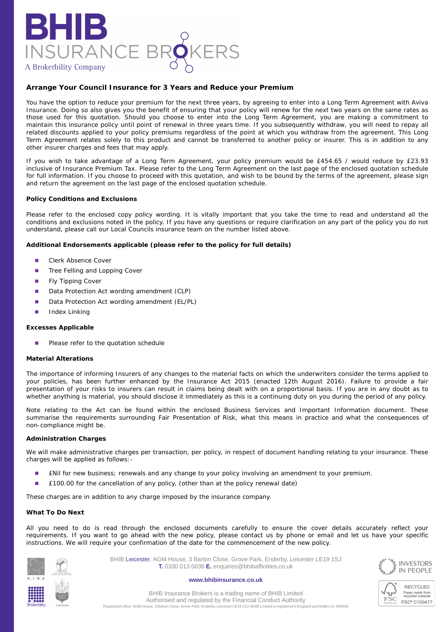

# **Arrange Your Council Insurance for 3 Years and Reduce your Premium**

You have the option to reduce your premium for the next three years, by agreeing to enter into a Long Term Agreement with Aviva Insurance. Doing so also gives you the benefit of ensuring that your policy will renew for the next two years on the same rates as those used for this quotation. Should you choose to enter into the Long Term Agreement, you are making a commitment to maintain this insurance policy until point of renewal in three years time. If you subsequently withdraw, you will need to repay all related discounts applied to your policy premiums regardless of the point at which you withdraw from the agreement. This Long Term Agreement relates solely to this product and cannot be transferred to another policy or insurer. This is in addition to any other insurer charges and fees that may apply.

If you wish to take advantage of a Long Term Agreement, your policy premium would be £454.65 / would reduce by £23.93 inclusive of Insurance Premium Tax. Please refer to the Long Term Agreement on the last page of the enclosed quotation schedule for full information. If you choose to proceed with this quotation, and wish to be bound by the terms of the agreement, please sign and return the agreement on the last page of the enclosed quotation schedule.

### **Policy Conditions and Exclusions**

Please refer to the enclosed copy policy wording. It is vitally important that you take the time to read and understand all the conditions and exclusions noted in the policy. If you have any questions or require clarification on any part of the policy you do not understand, please call our Local Councils insurance team on the number listed above.

**Additional Endorsements applicable (please refer to the policy for full details)**

- Clerk Absence Cover ■
- Tree Felling and Lopping Cover ■
- Fly Tipping Cover ■
- Data Protection Act wording amendment (CLP) ■
- Data Protection Act wording amendment (EL/PL) ■
- Index Linking ■

#### **Excesses Applicable**

Please refer to the quotation schedule ■

#### **Material Alterations**

The importance of informing Insurers of any changes to the material facts on which the underwriters consider the terms applied to your policies, has been further enhanced by the Insurance Act 2015 (enacted 12th August 2016). Failure to provide a fair presentation of your risks to insurers can result in claims being dealt with on a proportional basis. If you are in any doubt as to whether anything is material, you should disclose it immediately as this is a continuing duty on you during the period of any policy.

Note relating to the Act can be found within the enclosed Business Services and Important Information document. These summarise the requirements surrounding Fair Presentation of Risk, what this means in practice and what the consequences of non-compliance might be.

#### **Administration Charges**

We will make administrative charges per transaction, per policy, in respect of document handling relating to your insurance. These charges will be applied as follows:-

- £Nil for new business; renewals and any change to your policy involving an amendment to your premium. ■
- £100.00 for the cancellation of any policy, (other than at the policy renewal date) ■

These charges are in addition to any charge imposed by the insurance company.

#### **What To Do Next**

All you need to do is read through the enclosed documents carefully to ensure the cover details accurately reflect your requirements. If you want to go ahead with the new policy, please contact us by phone or email and let us have your specific instructions. We will require your confirmation of the date for the commencement of the new policy.





BHIB Leicester, AGM House, 3 Barton Close, Grove Park, Enderby, Leicester LE19 1SJ **T.** 0330 013 0036 **E.** enquiries@bhibaffinities.co.uk

#### **www.bhibinsurance.co.uk**



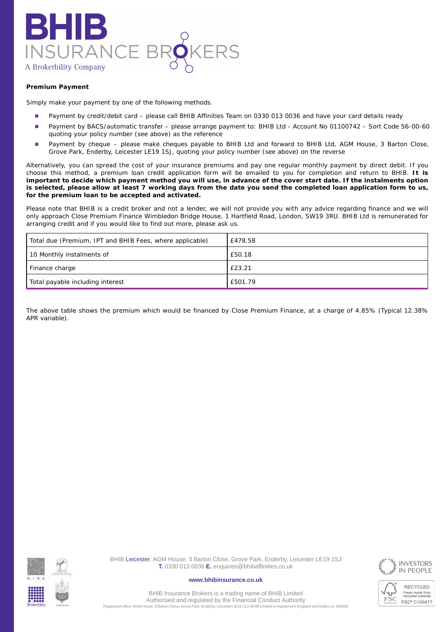

# **Premium Payment**

Simply make your payment by one of the following methods.

- Payment by credit/debit card please call BHIB Affinities Team on 0330 013 0036 and have your card details ready ■
- Payment by BACS/automatic transfer please arrange payment to: BHIB Ltd Account No 01100742 Sort Code 56-00-60 quoting your policy number (see above) as the reference ■
- Payment by cheque please make cheques payable to BHIB Ltd and forward to BHIB Ltd, AGM House, 3 Barton Close, Grove Park, Enderby, Leicester LE19 1SJ, quoting your policy number (see above) on the reverse ■

Alternatively, you can spread the cost of your insurance premiums and pay one regular monthly payment by direct debit. If you choose this method, a premium loan credit application form will be emailed to you for completion and return to BHIB. **It is important to decide which payment method you will use, in advance of the cover start date. If the instalments option is selected, please allow at least 7 working days from the date you send the completed loan application form to us, for the premium loan to be accepted and activated.**

Please note that BHIB is a credit broker and not a lender, we will not provide you with any advice regarding finance and we will only approach Close Premium Finance Wimbledon Bridge House, 1 Hartfield Road, London, SW19 3RU. BHIB Ltd is remunerated for arranging credit and if you would like to find out more, please ask us.

| Total due (Premium, IPT and BHIB Fees, where applicable) | £478.58 |
|----------------------------------------------------------|---------|
| 10 Monthly instalments of                                | £50.18  |
| Finance charge                                           | £23.21  |
| Total payable including interest                         | £501.79 |

The above table shows the premium which would be financed by Close Premium Finance, at a charge of 4.85% (Typical 12.38% APR variable).



BHIB Leicester, AGM House, 3 Barton Close, Grove Park, Enderby, Leicester LE19 1SJ **T.** 0330 013 0036 **E.** enquiries@bhibaffinities.co.uk

**www.bhibinsurance.co.uk**





**RECYCLED** Paper made from<br>recycled material FSC<sup>®</sup> C100477